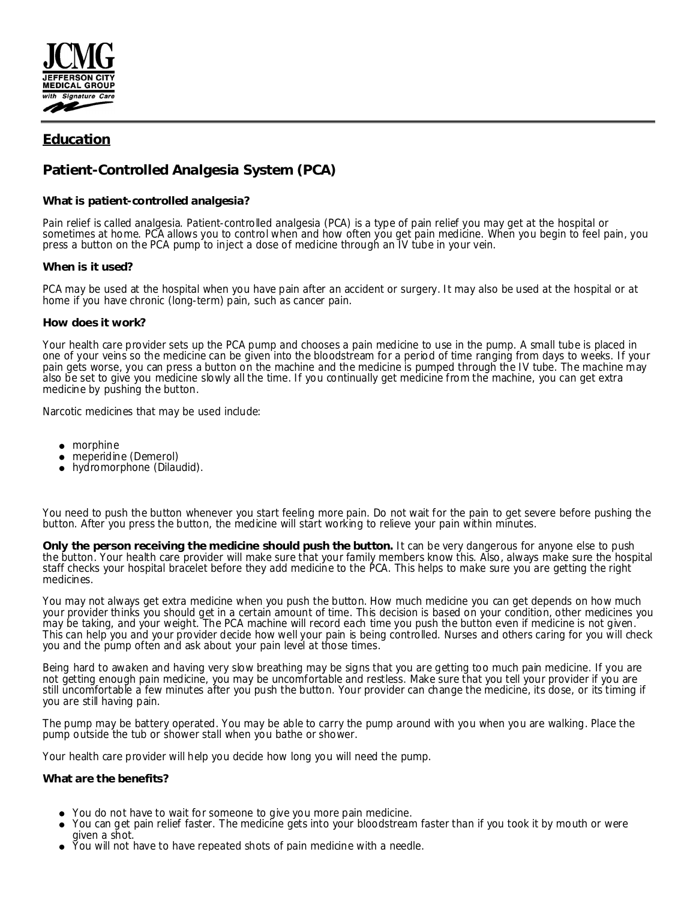

# **Education**

# **Patient-Controlled Analgesia System (PCA)**

## **What is patient-controlled analgesia?**

Pain relief is called analgesia. Patient-controlled analgesia (PCA) is a type of pain relief you may get at the hospital or sometimes at home. PCA allows you to control when and how often you get pain medicine. When you begin to feel pain, you press a button on the PCA pump to inject a dose of medicine through an IV tube in your vein.

### **When is it used?**

PCA may be used at the hospital when you have pain after an accident or surgery. It may also be used at the hospital or at home if you have chronic (long-term) pain, such as cancer pain.

### **How does it work?**

Your health care provider sets up the PCA pump and chooses a pain medicine to use in the pump. A small tube is placed in one of your veins so the medicine can be given into the bloodstream for a period of time ranging from days to weeks. If your pain gets worse, you can press a button on the machine and the medicine is pumped through the IV tube. The machine may also be set to give you medicine slowly all the time. If you continually get medicine from the machine, you can get extra medicine by pushing the button.

Narcotic medicines that may be used include:

- morphine
- meperidine (Demerol)
- hydromorphone (Dilaudid).

You need to push the button whenever you start feeling more pain. Do not wait for the pain to get severe before pushing the button. After you press the button, the medicine will start working to relieve your pain within minutes.

**Only the person receiving the medicine should push the button.** It can be very dangerous for anyone else to push the button. Your health care provider will make sure that your family members know this. Also, always make sure the hospital staff checks your hospital bracelet before they add medicine to the PCA. This helps to make sure you are getting the right medicines.

You may not always get extra medicine when you push the button. How much medicine you can get depends on how much your provider thinks you should get in a certain amount of time. This decision is based on your condition, other medicines you may be taking, and your weight. The PCA machine will record each time you push the button even if medicine is not given. This can help you and your provider decide how well your pain is being controlled. Nurses and others caring for you will check you and the pump often and ask about your pain level at those times.

Being hard to awaken and having very slow breathing may be signs that you are getting too much pain medicine. If you are not getting enough pain medicine, you may be uncomfortable and restless. Make sure that you tell your provider if you are still uncomfortable a few minutes after you push the button. Your provider can change the medicine, its dose, or its timing if you are still having pain.

The pump may be battery operated. You may be able to carry the pump around with you when you are walking. Place the pump outside the tub or shower stall when you bathe or shower.

Your health care provider will help you decide how long you will need the pump.

**What are the benefits?**

- You do not have to wait for someone to give you more pain medicine.
- You can get pain relief faster. The medicine gets into your bloodstream faster than if you took it by mouth or were given a shot.
- You will not have to have repeated shots of pain medicine with a needle.